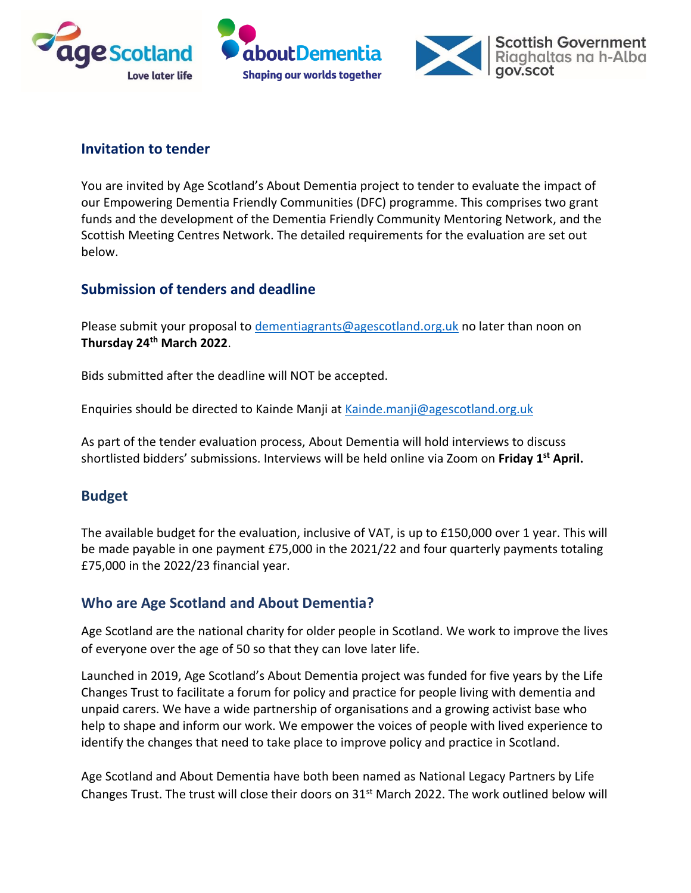





## **Invitation to tender**

You are invited by Age Scotland's About Dementia project to tender to evaluate the impact of our Empowering Dementia Friendly Communities (DFC) programme. This comprises two grant funds and the development of the Dementia Friendly Community Mentoring Network, and the Scottish Meeting Centres Network. The detailed requirements for the evaluation are set out below.

## **Submission of tenders and deadline**

Please submit your proposal to [dementiagrants@agescotland.org.uk](mailto:dementiagrants@agescotland.org.uk) no later than noon on **Thursday 24th March 2022**.

Bids submitted after the deadline will NOT be accepted.

Enquiries should be directed to Kainde Manji at [Kainde.manji@agescotland.org.uk](mailto:Kainde.manji@agescotland.org.uk)

As part of the tender evaluation process, About Dementia will hold interviews to discuss shortlisted bidders' submissions. Interviews will be held online via Zoom on **Friday 1st April.**

## **Budget**

The available budget for the evaluation, inclusive of VAT, is up to £150,000 over 1 year. This will be made payable in one payment £75,000 in the 2021/22 and four quarterly payments totaling £75,000 in the 2022/23 financial year.

### **Who are Age Scotland and About Dementia?**

Age Scotland are the national charity for older people in Scotland. We work to improve the lives of everyone over the age of 50 so that they can love later life.

Launched in 2019, Age Scotland's About Dementia project was funded for five years by the Life Changes Trust to facilitate a forum for policy and practice for people living with dementia and unpaid carers. We have a wide partnership of organisations and a growing activist base who help to shape and inform our work. We empower the voices of people with lived experience to identify the changes that need to take place to improve policy and practice in Scotland.

Age Scotland and About Dementia have both been named as National Legacy Partners by Life Changes Trust. The trust will close their doors on 31<sup>st</sup> March 2022. The work outlined below will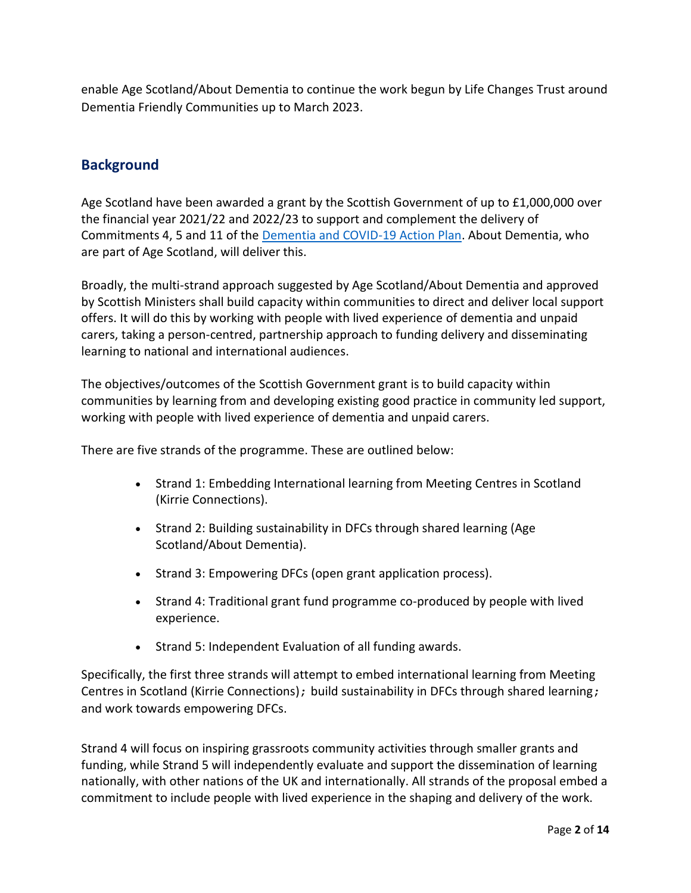enable Age Scotland/About Dementia to continue the work begun by Life Changes Trust around Dementia Friendly Communities up to March 2023.

## **Background**

Age Scotland have been awarded a grant by the Scottish Government of up to £1,000,000 over the financial year 2021/22 and 2022/23 to support and complement the delivery of Commitments 4, 5 and 11 of the [Dementia and COVID-19 Action Plan.](https://www.gov.scot/publications/dementia-covid-19-national-action-plan-continue-support-recovery-people-dementia-carers/) About Dementia, who are part of Age Scotland, will deliver this.

Broadly, the multi-strand approach suggested by Age Scotland/About Dementia and approved by Scottish Ministers shall build capacity within communities to direct and deliver local support offers. It will do this by working with people with lived experience of dementia and unpaid carers, taking a person-centred, partnership approach to funding delivery and disseminating learning to national and international audiences.

The objectives/outcomes of the Scottish Government grant is to build capacity within communities by learning from and developing existing good practice in community led support, working with people with lived experience of dementia and unpaid carers.

There are five strands of the programme. These are outlined below:

- Strand 1: Embedding International learning from Meeting Centres in Scotland (Kirrie Connections).
- Strand 2: Building sustainability in DFCs through shared learning (Age Scotland/About Dementia).
- Strand 3: Empowering DFCs (open grant application process).
- Strand 4: Traditional grant fund programme co-produced by people with lived experience.
- Strand 5: Independent Evaluation of all funding awards.

Specifically, the first three strands will attempt to embed international learning from Meeting Centres in Scotland (Kirrie Connections); build sustainability in DFCs through shared learning; and work towards empowering DFCs.

Strand 4 will focus on inspiring grassroots community activities through smaller grants and funding, while Strand 5 will independently evaluate and support the dissemination of learning nationally, with other nations of the UK and internationally. All strands of the proposal embed a commitment to include people with lived experience in the shaping and delivery of the work.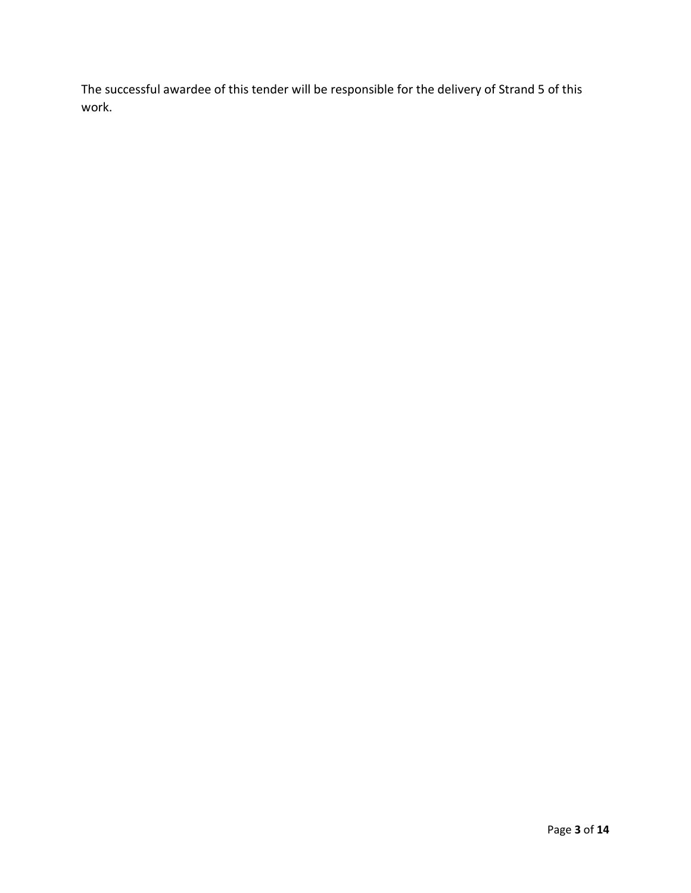The successful awardee of this tender will be responsible for the delivery of Strand 5 of this work.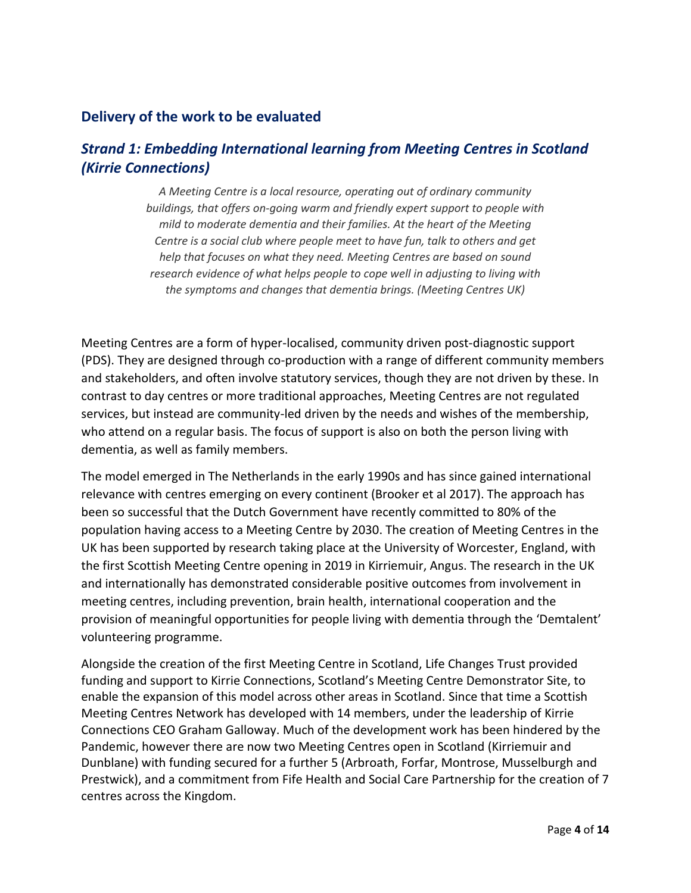### **Delivery of the work to be evaluated**

## *Strand 1: Embedding International learning from Meeting Centres in Scotland (Kirrie Connections)*

*A Meeting Centre is a local resource, operating out of ordinary community buildings, that offers on-going warm and friendly expert support to people with mild to moderate dementia and their families. At the heart of the Meeting Centre is a social club where people meet to have fun, talk to others and get help that focuses on what they need. Meeting Centres are based on sound research evidence of what helps people to cope well in adjusting to living with the symptoms and changes that dementia brings. (Meeting Centres UK)*

Meeting Centres are a form of hyper-localised, community driven post-diagnostic support (PDS). They are designed through co-production with a range of different community members and stakeholders, and often involve statutory services, though they are not driven by these. In contrast to day centres or more traditional approaches, Meeting Centres are not regulated services, but instead are community-led driven by the needs and wishes of the membership, who attend on a regular basis. The focus of support is also on both the person living with dementia, as well as family members.

The model emerged in The Netherlands in the early 1990s and has since gained international relevance with centres emerging on every continent (Brooker et al 2017). The approach has been so successful that the Dutch Government have recently committed to 80% of the population having access to a Meeting Centre by 2030. The creation of Meeting Centres in the UK has been supported by research taking place at the University of Worcester, England, with the first Scottish Meeting Centre opening in 2019 in Kirriemuir, Angus. The research in the UK and internationally has demonstrated considerable positive outcomes from involvement in meeting centres, including prevention, brain health, international cooperation and the provision of meaningful opportunities for people living with dementia through the 'Demtalent' volunteering programme.

Alongside the creation of the first Meeting Centre in Scotland, Life Changes Trust provided funding and support to Kirrie Connections, Scotland's Meeting Centre Demonstrator Site, to enable the expansion of this model across other areas in Scotland. Since that time a Scottish Meeting Centres Network has developed with 14 members, under the leadership of Kirrie Connections CEO Graham Galloway. Much of the development work has been hindered by the Pandemic, however there are now two Meeting Centres open in Scotland (Kirriemuir and Dunblane) with funding secured for a further 5 (Arbroath, Forfar, Montrose, Musselburgh and Prestwick), and a commitment from Fife Health and Social Care Partnership for the creation of 7 centres across the Kingdom.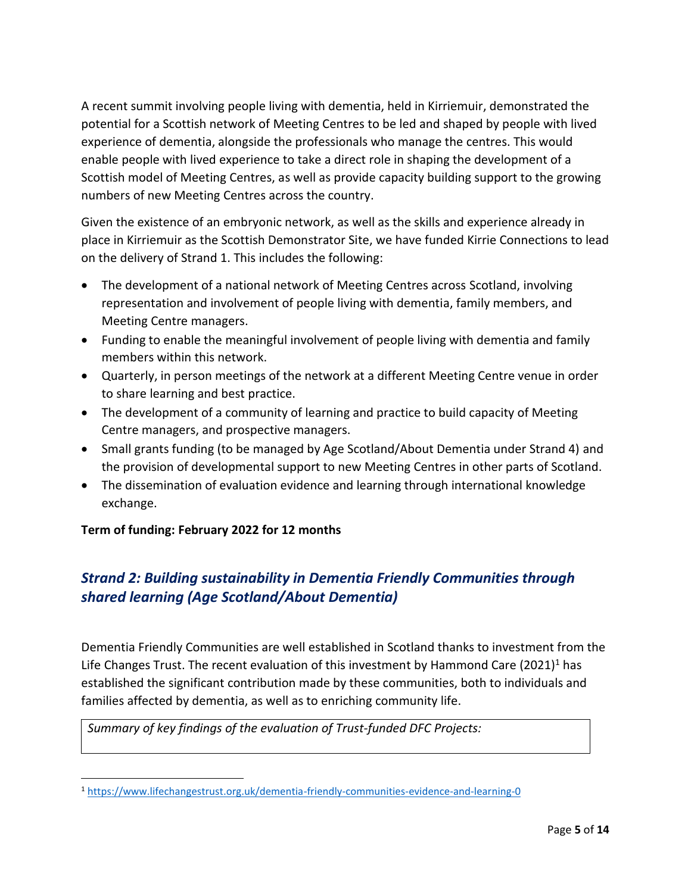A recent summit involving people living with dementia, held in Kirriemuir, demonstrated the potential for a Scottish network of Meeting Centres to be led and shaped by people with lived experience of dementia, alongside the professionals who manage the centres. This would enable people with lived experience to take a direct role in shaping the development of a Scottish model of Meeting Centres, as well as provide capacity building support to the growing numbers of new Meeting Centres across the country.

Given the existence of an embryonic network, as well as the skills and experience already in place in Kirriemuir as the Scottish Demonstrator Site, we have funded Kirrie Connections to lead on the delivery of Strand 1. This includes the following:

- The development of a national network of Meeting Centres across Scotland, involving representation and involvement of people living with dementia, family members, and Meeting Centre managers.
- Funding to enable the meaningful involvement of people living with dementia and family members within this network.
- Quarterly, in person meetings of the network at a different Meeting Centre venue in order to share learning and best practice.
- The development of a community of learning and practice to build capacity of Meeting Centre managers, and prospective managers.
- Small grants funding (to be managed by Age Scotland/About Dementia under Strand 4) and the provision of developmental support to new Meeting Centres in other parts of Scotland.
- The dissemination of evaluation evidence and learning through international knowledge exchange.

### **Term of funding: February 2022 for 12 months**

# *Strand 2: Building sustainability in Dementia Friendly Communities through shared learning (Age Scotland/About Dementia)*

Dementia Friendly Communities are well established in Scotland thanks to investment from the Life Changes Trust. The recent evaluation of this investment by Hammond Care  $(2021)^1$  has established the significant contribution made by these communities, both to individuals and families affected by dementia, as well as to enriching community life.

*Summary of key findings of the evaluation of Trust-funded DFC Projects:*

<sup>1</sup> <https://www.lifechangestrust.org.uk/dementia-friendly-communities-evidence-and-learning-0>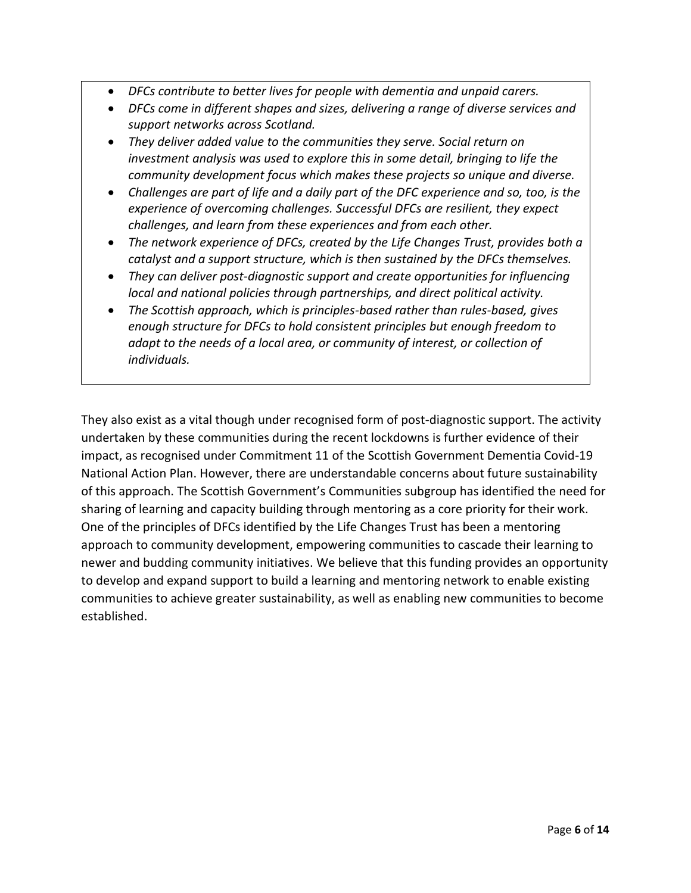- *DFCs contribute to better lives for people with dementia and unpaid carers.*
- *DFCs come in different shapes and sizes, delivering a range of diverse services and support networks across Scotland.*
- *They deliver added value to the communities they serve. Social return on investment analysis was used to explore this in some detail, bringing to life the community development focus which makes these projects so unique and diverse.*
- *Challenges are part of life and a daily part of the DFC experience and so, too, is the experience of overcoming challenges. Successful DFCs are resilient, they expect challenges, and learn from these experiences and from each other.*
- *The network experience of DFCs, created by the Life Changes Trust, provides both a catalyst and a support structure, which is then sustained by the DFCs themselves.*
- *They can deliver post-diagnostic support and create opportunities for influencing local and national policies through partnerships, and direct political activity.*
- *The Scottish approach, which is principles-based rather than rules-based, gives enough structure for DFCs to hold consistent principles but enough freedom to adapt to the needs of a local area, or community of interest, or collection of individuals.*

They also exist as a vital though under recognised form of post-diagnostic support. The activity undertaken by these communities during the recent lockdowns is further evidence of their impact, as recognised under Commitment 11 of the Scottish Government Dementia Covid-19 National Action Plan. However, there are understandable concerns about future sustainability of this approach. The Scottish Government's Communities subgroup has identified the need for sharing of learning and capacity building through mentoring as a core priority for their work. One of the principles of DFCs identified by the Life Changes Trust has been a mentoring approach to community development, empowering communities to cascade their learning to newer and budding community initiatives. We believe that this funding provides an opportunity to develop and expand support to build a learning and mentoring network to enable existing communities to achieve greater sustainability, as well as enabling new communities to become established.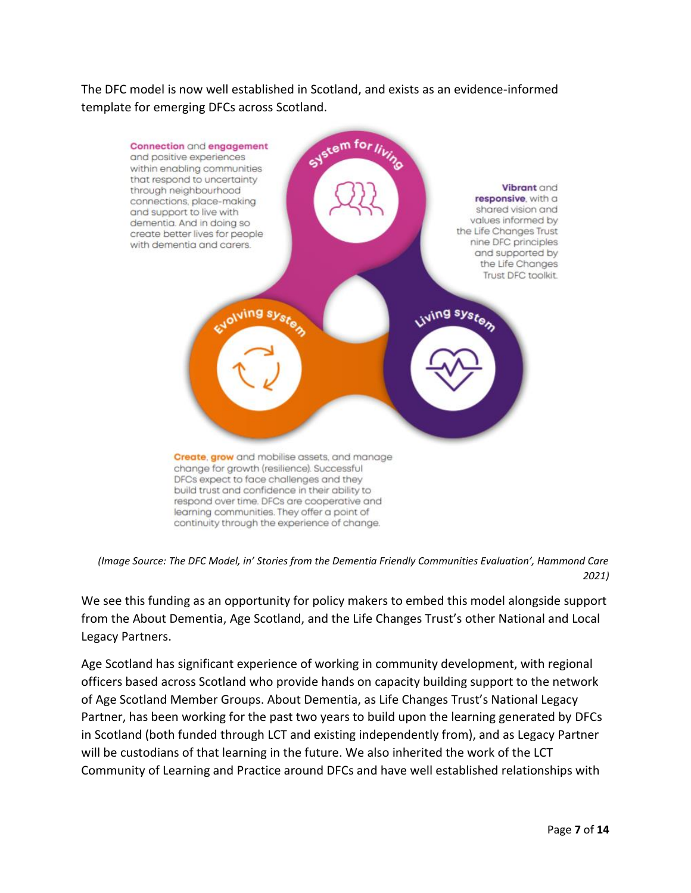The DFC model is now well established in Scotland, and exists as an evidence-informed template for emerging DFCs across Scotland.



*(Image Source: The DFC Model, in' Stories from the Dementia Friendly Communities Evaluation', Hammond Care 2021)*

We see this funding as an opportunity for policy makers to embed this model alongside support from the About Dementia, Age Scotland, and the Life Changes Trust's other National and Local Legacy Partners.

Age Scotland has significant experience of working in community development, with regional officers based across Scotland who provide hands on capacity building support to the network of Age Scotland Member Groups. About Dementia, as Life Changes Trust's National Legacy Partner, has been working for the past two years to build upon the learning generated by DFCs in Scotland (both funded through LCT and existing independently from), and as Legacy Partner will be custodians of that learning in the future. We also inherited the work of the LCT Community of Learning and Practice around DFCs and have well established relationships with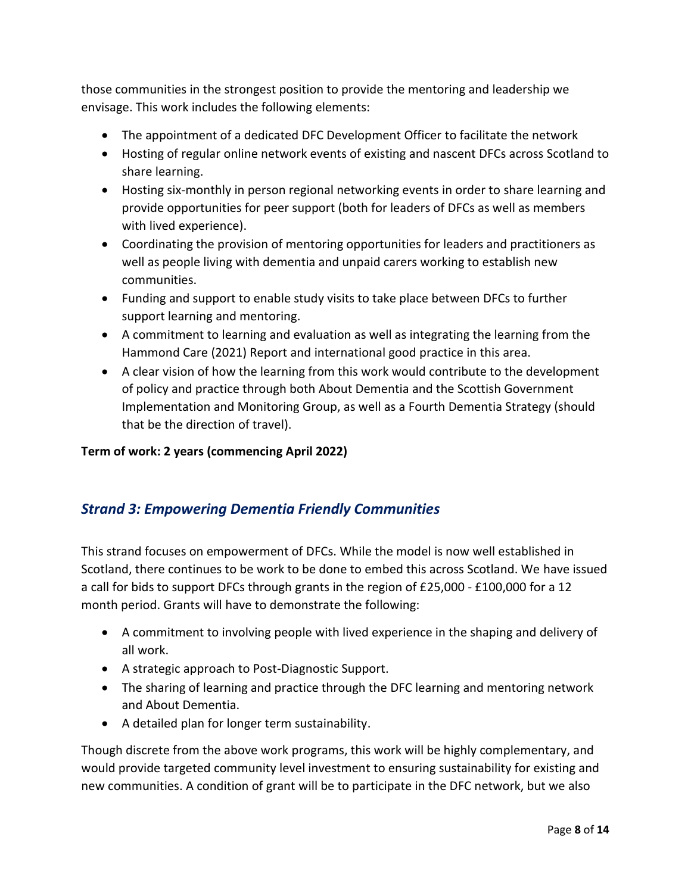those communities in the strongest position to provide the mentoring and leadership we envisage. This work includes the following elements:

- The appointment of a dedicated DFC Development Officer to facilitate the network
- Hosting of regular online network events of existing and nascent DFCs across Scotland to share learning.
- Hosting six-monthly in person regional networking events in order to share learning and provide opportunities for peer support (both for leaders of DFCs as well as members with lived experience).
- Coordinating the provision of mentoring opportunities for leaders and practitioners as well as people living with dementia and unpaid carers working to establish new communities.
- Funding and support to enable study visits to take place between DFCs to further support learning and mentoring.
- A commitment to learning and evaluation as well as integrating the learning from the Hammond Care (2021) Report and international good practice in this area.
- A clear vision of how the learning from this work would contribute to the development of policy and practice through both About Dementia and the Scottish Government Implementation and Monitoring Group, as well as a Fourth Dementia Strategy (should that be the direction of travel).

#### **Term of work: 2 years (commencing April 2022)**

## *Strand 3: Empowering Dementia Friendly Communities*

This strand focuses on empowerment of DFCs. While the model is now well established in Scotland, there continues to be work to be done to embed this across Scotland. We have issued a call for bids to support DFCs through grants in the region of £25,000 - £100,000 for a 12 month period. Grants will have to demonstrate the following:

- A commitment to involving people with lived experience in the shaping and delivery of all work.
- A strategic approach to Post-Diagnostic Support.
- The sharing of learning and practice through the DFC learning and mentoring network and About Dementia.
- A detailed plan for longer term sustainability.

Though discrete from the above work programs, this work will be highly complementary, and would provide targeted community level investment to ensuring sustainability for existing and new communities. A condition of grant will be to participate in the DFC network, but we also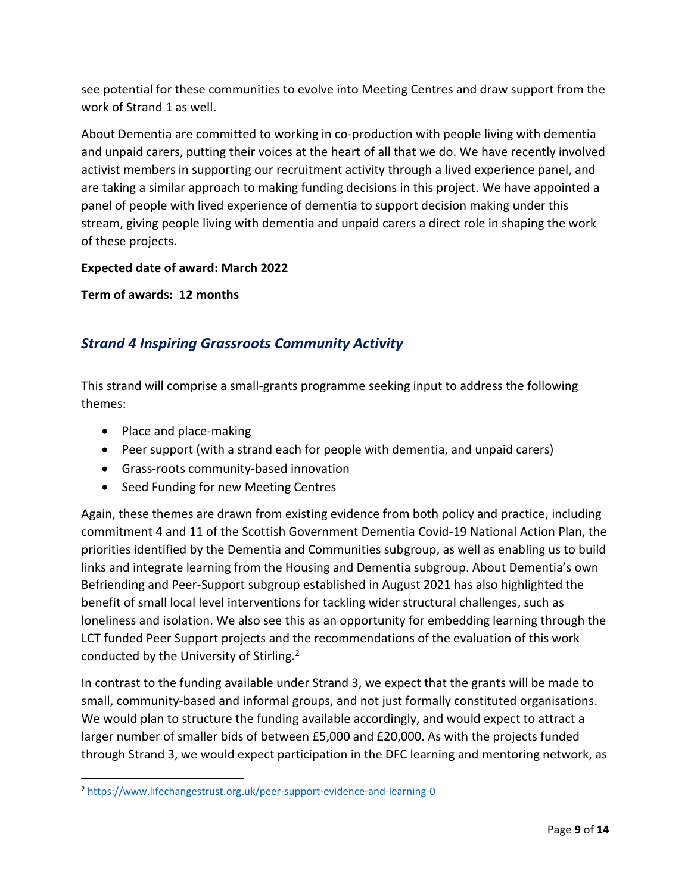see potential for these communities to evolve into Meeting Centres and draw support from the work of Strand 1 as well.

About Dementia are committed to working in co-production with people living with dementia and unpaid carers, putting their voices at the heart of all that we do. We have recently involved activist members in supporting our recruitment activity through a lived experience panel, and are taking a similar approach to making funding decisions in this project. We have appointed a panel of people with lived experience of dementia to support decision making under this stream, giving people living with dementia and unpaid carers a direct role in shaping the work of these projects.

#### **Expected date of award: March 2022**

**Term of awards: 12 months**

## *Strand 4 Inspiring Grassroots Community Activity*

This strand will comprise a small-grants programme seeking input to address the following themes:

- Place and place-making
- Peer support (with a strand each for people with dementia, and unpaid carers)
- Grass-roots community-based innovation
- Seed Funding for new Meeting Centres

Again, these themes are drawn from existing evidence from both policy and practice, including commitment 4 and 11 of the Scottish Government Dementia Covid-19 National Action Plan, the priorities identified by the Dementia and Communities subgroup, as well as enabling us to build links and integrate learning from the Housing and Dementia subgroup. About Dementia's own Befriending and Peer-Support subgroup established in August 2021 has also highlighted the benefit of small local level interventions for tackling wider structural challenges, such as loneliness and isolation. We also see this as an opportunity for embedding learning through the LCT funded Peer Support projects and the recommendations of the evaluation of this work conducted by the University of Stirling.<sup>2</sup>

In contrast to the funding available under Strand 3, we expect that the grants will be made to small, community-based and informal groups, and not just formally constituted organisations. We would plan to structure the funding available accordingly, and would expect to attract a larger number of smaller bids of between £5,000 and £20,000. As with the projects funded through Strand 3, we would expect participation in the DFC learning and mentoring network, as

<sup>2</sup> <https://www.lifechangestrust.org.uk/peer-support-evidence-and-learning-0>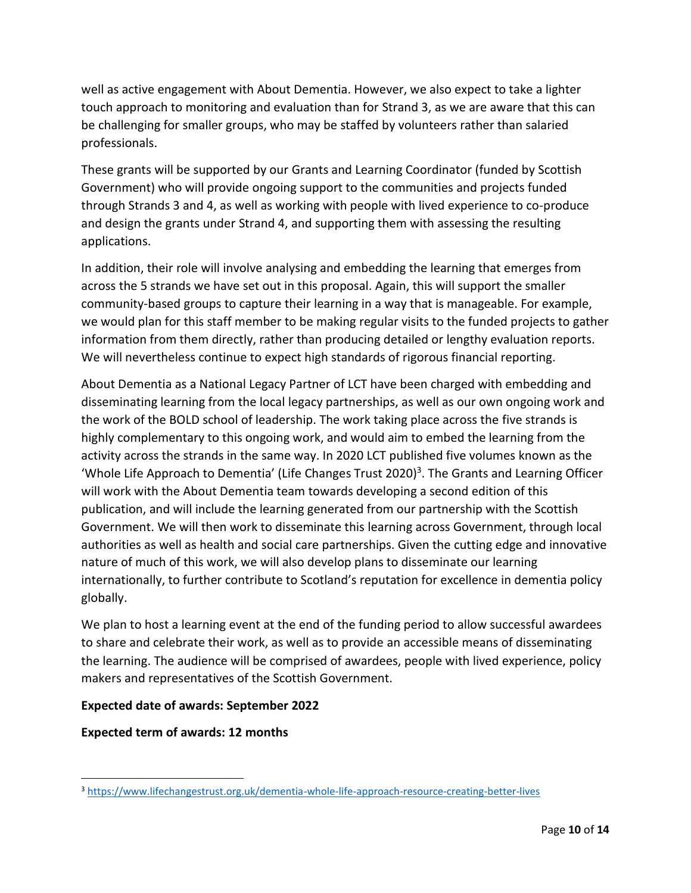well as active engagement with About Dementia. However, we also expect to take a lighter touch approach to monitoring and evaluation than for Strand 3, as we are aware that this can be challenging for smaller groups, who may be staffed by volunteers rather than salaried professionals.

These grants will be supported by our Grants and Learning Coordinator (funded by Scottish Government) who will provide ongoing support to the communities and projects funded through Strands 3 and 4, as well as working with people with lived experience to co-produce and design the grants under Strand 4, and supporting them with assessing the resulting applications.

In addition, their role will involve analysing and embedding the learning that emerges from across the 5 strands we have set out in this proposal. Again, this will support the smaller community-based groups to capture their learning in a way that is manageable. For example, we would plan for this staff member to be making regular visits to the funded projects to gather information from them directly, rather than producing detailed or lengthy evaluation reports. We will nevertheless continue to expect high standards of rigorous financial reporting.

About Dementia as a National Legacy Partner of LCT have been charged with embedding and disseminating learning from the local legacy partnerships, as well as our own ongoing work and the work of the BOLD school of leadership. The work taking place across the five strands is highly complementary to this ongoing work, and would aim to embed the learning from the activity across the strands in the same way. In 2020 LCT published five volumes known as the 'Whole Life Approach to Dementia' (Life Changes Trust 2020)<sup>3</sup>. The Grants and Learning Officer will work with the About Dementia team towards developing a second edition of this publication, and will include the learning generated from our partnership with the Scottish Government. We will then work to disseminate this learning across Government, through local authorities as well as health and social care partnerships. Given the cutting edge and innovative nature of much of this work, we will also develop plans to disseminate our learning internationally, to further contribute to Scotland's reputation for excellence in dementia policy globally.

We plan to host a learning event at the end of the funding period to allow successful awardees to share and celebrate their work, as well as to provide an accessible means of disseminating the learning. The audience will be comprised of awardees, people with lived experience, policy makers and representatives of the Scottish Government.

#### **Expected date of awards: September 2022**

**Expected term of awards: 12 months**

<sup>3</sup> <https://www.lifechangestrust.org.uk/dementia-whole-life-approach-resource-creating-better-lives>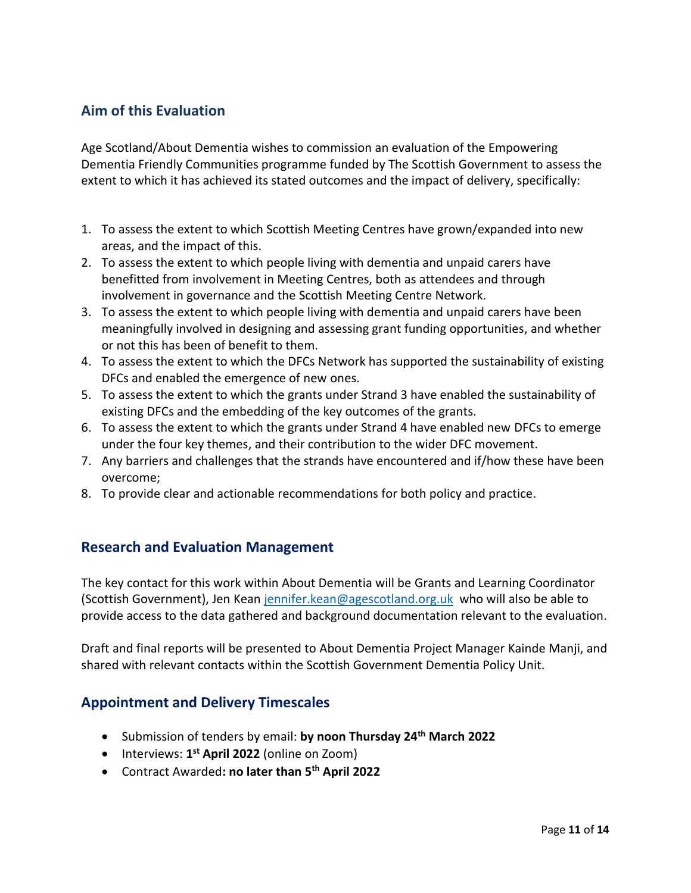## **Aim of this Evaluation**

Age Scotland/About Dementia wishes to commission an evaluation of the Empowering Dementia Friendly Communities programme funded by The Scottish Government to assess the extent to which it has achieved its stated outcomes and the impact of delivery, specifically:

- 1. To assess the extent to which Scottish Meeting Centres have grown/expanded into new areas, and the impact of this.
- 2. To assess the extent to which people living with dementia and unpaid carers have benefitted from involvement in Meeting Centres, both as attendees and through involvement in governance and the Scottish Meeting Centre Network.
- 3. To assess the extent to which people living with dementia and unpaid carers have been meaningfully involved in designing and assessing grant funding opportunities, and whether or not this has been of benefit to them.
- 4. To assess the extent to which the DFCs Network has supported the sustainability of existing DFCs and enabled the emergence of new ones.
- 5. To assess the extent to which the grants under Strand 3 have enabled the sustainability of existing DFCs and the embedding of the key outcomes of the grants.
- 6. To assess the extent to which the grants under Strand 4 have enabled new DFCs to emerge under the four key themes, and their contribution to the wider DFC movement.
- 7. Any barriers and challenges that the strands have encountered and if/how these have been overcome;
- 8. To provide clear and actionable recommendations for both policy and practice.

### **Research and Evaluation Management**

The key contact for this work within About Dementia will be Grants and Learning Coordinator (Scottish Government), Jen Kean [jennifer.kean@agescotland.org.uk](mailto:jennifer.kean@agescotland.org.uk) who will also be able to provide access to the data gathered and background documentation relevant to the evaluation.

Draft and final reports will be presented to About Dementia Project Manager Kainde Manji, and shared with relevant contacts within the Scottish Government Dementia Policy Unit.

### **Appointment and Delivery Timescales**

- Submission of tenders by email: **by noon Thursday 24th March 2022**
- Interviews: **1 st April 2022** (online on Zoom)
- Contract Awarded**: no later than 5 th April 2022**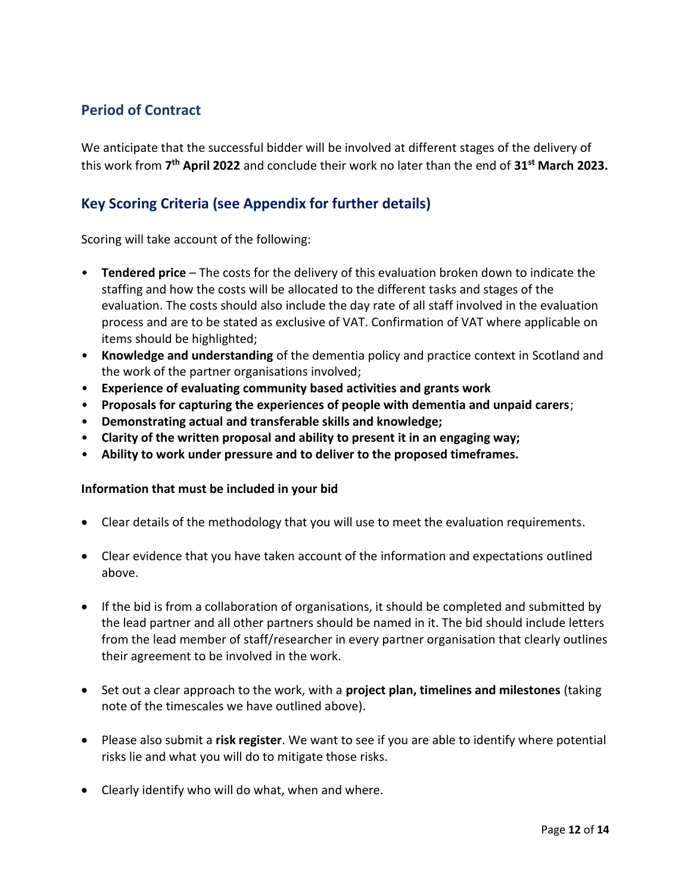## **Period of Contract**

We anticipate that the successful bidder will be involved at different stages of the delivery of this work from **7 th April 2022** and conclude their work no later than the end of **31st March 2023.**

## **Key Scoring Criteria (see Appendix for further details)**

Scoring will take account of the following:

- **Tendered price** The costs for the delivery of this evaluation broken down to indicate the staffing and how the costs will be allocated to the different tasks and stages of the evaluation. The costs should also include the day rate of all staff involved in the evaluation process and are to be stated as exclusive of VAT. Confirmation of VAT where applicable on items should be highlighted;
- **Knowledge and understanding** of the dementia policy and practice context in Scotland and the work of the partner organisations involved;
- **Experience of evaluating community based activities and grants work**
- **Proposals for capturing the experiences of people with dementia and unpaid carers**;
- **Demonstrating actual and transferable skills and knowledge;**
- **Clarity of the written proposal and ability to present it in an engaging way;**
- **Ability to work under pressure and to deliver to the proposed timeframes.**

#### **Information that must be included in your bid**

- Clear details of the methodology that you will use to meet the evaluation requirements.
- Clear evidence that you have taken account of the information and expectations outlined above.
- If the bid is from a collaboration of organisations, it should be completed and submitted by the lead partner and all other partners should be named in it. The bid should include letters from the lead member of staff/researcher in every partner organisation that clearly outlines their agreement to be involved in the work.
- Set out a clear approach to the work, with a **project plan, timelines and milestones** (taking note of the timescales we have outlined above).
- Please also submit a **risk register**. We want to see if you are able to identify where potential risks lie and what you will do to mitigate those risks.
- Clearly identify who will do what, when and where.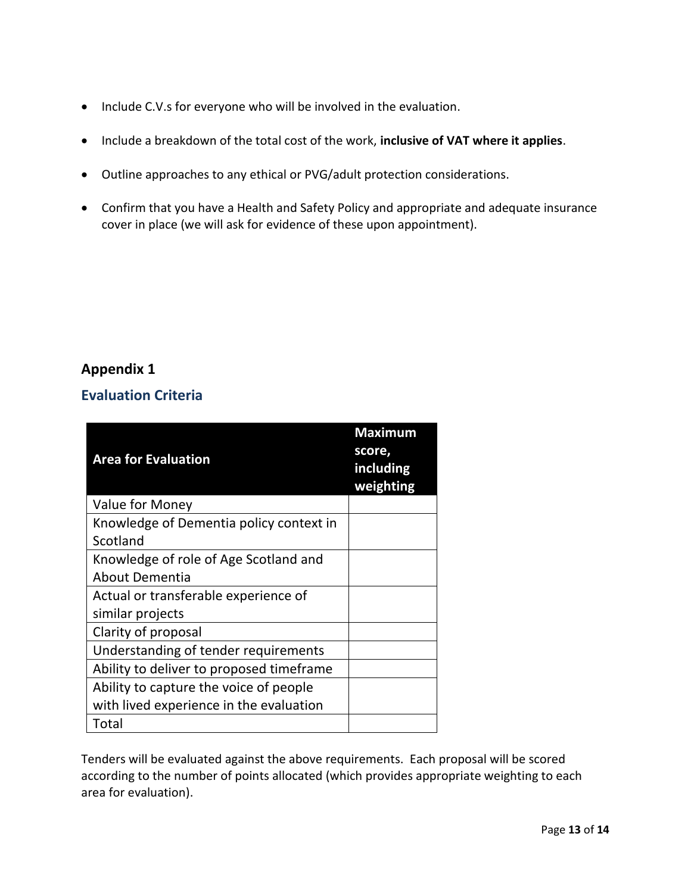- Include C.V.s for everyone who will be involved in the evaluation.
- Include a breakdown of the total cost of the work, **inclusive of VAT where it applies**.
- Outline approaches to any ethical or PVG/adult protection considerations.
- Confirm that you have a Health and Safety Policy and appropriate and adequate insurance cover in place (we will ask for evidence of these upon appointment).

## **Appendix 1**

### **Evaluation Criteria**

| <b>Area for Evaluation</b>               | <b>Maximum</b><br>score,<br>including<br>weighting |
|------------------------------------------|----------------------------------------------------|
| Value for Money                          |                                                    |
| Knowledge of Dementia policy context in  |                                                    |
| Scotland                                 |                                                    |
| Knowledge of role of Age Scotland and    |                                                    |
| <b>About Dementia</b>                    |                                                    |
| Actual or transferable experience of     |                                                    |
| similar projects                         |                                                    |
| Clarity of proposal                      |                                                    |
| Understanding of tender requirements     |                                                    |
| Ability to deliver to proposed timeframe |                                                    |
| Ability to capture the voice of people   |                                                    |
| with lived experience in the evaluation  |                                                    |
| Total                                    |                                                    |

Tenders will be evaluated against the above requirements. Each proposal will be scored according to the number of points allocated (which provides appropriate weighting to each area for evaluation).